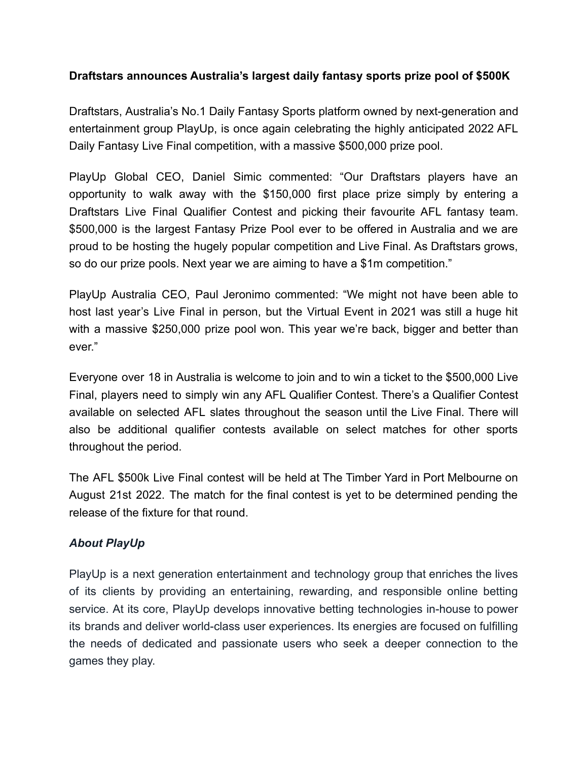## **Draftstars announces Australia's largest daily fantasy sports prize pool of \$500K**

Draftstars, Australia's No.1 Daily Fantasy Sports platform owned by next-generation and entertainment group PlayUp, is once again celebrating the highly anticipated 2022 AFL Daily Fantasy Live Final competition, with a massive \$500,000 prize pool.

PlayUp Global CEO, Daniel Simic commented: "Our Draftstars players have an opportunity to walk away with the \$150,000 first place prize simply by entering a Draftstars Live Final Qualifier Contest and picking their favourite AFL fantasy team. \$500,000 is the largest Fantasy Prize Pool ever to be offered in Australia and we are proud to be hosting the hugely popular competition and Live Final. As Draftstars grows, so do our prize pools. Next year we are aiming to have a \$1m competition."

PlayUp Australia CEO, Paul Jeronimo commented: "We might not have been able to host last year's Live Final in person, but the Virtual Event in 2021 was still a huge hit with a massive \$250,000 prize pool won. This year we're back, bigger and better than ever."

Everyone over 18 in Australia is welcome to join and to win a ticket to the \$500,000 Live Final, players need to simply win any AFL Qualifier Contest. There's a Qualifier Contest available on selected AFL slates throughout the season until the Live Final. There will also be additional qualifier contests available on select matches for other sports throughout the period.

The AFL \$500k Live Final contest will be held at The Timber Yard in Port Melbourne on August 21st 2022. The match for the final contest is yet to be determined pending the release of the fixture for that round.

## *About PlayUp*

PlayUp is a next generation entertainment and technology group that enriches the lives of its clients by providing an entertaining, rewarding, and responsible online betting service. At its core, PlayUp develops innovative betting technologies in-house to power its brands and deliver world-class user experiences. Its energies are focused on fulfilling the needs of dedicated and passionate users who seek a deeper connection to the games they play.